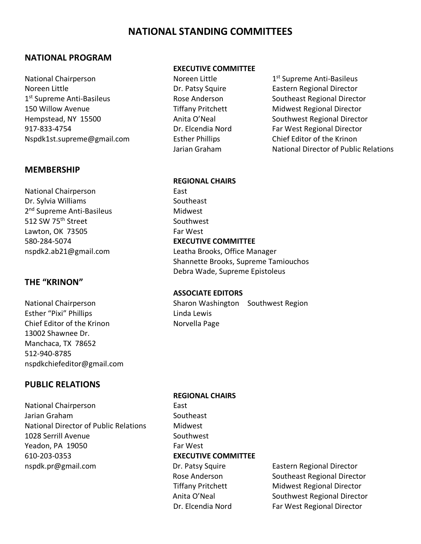# **NATIONAL STANDING COMMITTEES**

#### **NATIONAL PROGRAM**

National Chairperson **Noreen Little 1st Supreme Anti-Basileus** Noreen Little 1st Supreme Anti-Basileus Noreen Little **Norman Communist Communist Communist Communist Communist Communist Communist Communist Communist Communist Communist Communist Communist Communist Communist Communist Communist Communist Communist Communist** 1<sup>st</sup> Supreme Anti-Basileus **Rose Anderson** Southeast Regional Director 150 Willow Avenue Tiffany Pritchett Midwest Regional Director Hempstead, NY 15500 Anita O'Neal Southwest Regional Director 917-833-4754 Dr. Elcendia Nord Far West Regional Director Nspdk1st.supreme@gmail.com Esther Phillips Chief Editor of the Krinon

#### **MEMBERSHIP**

National Chairperson **East** Dr. Sylvia Williams Southeast 2<sup>nd</sup> Supreme Anti-Basileus Midwest 512 SW 75<sup>th</sup> Street Southwest Lawton, OK 73505 Far West 580-284-5074 **EXECUTIVE COMMITTEE**

#### **THE "KRINON"**

Esther "Pixi" Phillips **Linda Lewis** Chief Editor of the Krinon Norvella Page 13002 Shawnee Dr. Manchaca, TX 78652 512-940-8785 nspdkchiefeditor@gmail.com

#### **PUBLIC RELATIONS**

National Chairperson **East** Jarian Graham Southeast National Director of Public Relations Midwest 1028 Serrill Avenue Southwest Yeadon, PA 19050 Far West 610-203-0353 **EXECUTIVE COMMITTEE** nspdk.pr@gmail.com **Dr. Patsy Squire** Eastern Regional Director

#### **EXECUTIVE COMMITTEE**

Jarian Graham National Director of Public Relations

#### **REGIONAL CHAIRS**

nspdk2.ab21@gmail.com Leatha Brooks, Office Manager Shannette Brooks, Supreme Tamiouchos Debra Wade, Supreme Epistoleus

#### **ASSOCIATE EDITORS**

National Chairperson Sharon Washington Southwest Region

# **REGIONAL CHAIRS**

Rose Anderson Southeast Regional Director Tiffany Pritchett Midwest Regional Director Anita O'Neal Southwest Regional Director Dr. Elcendia Nord Far West Regional Director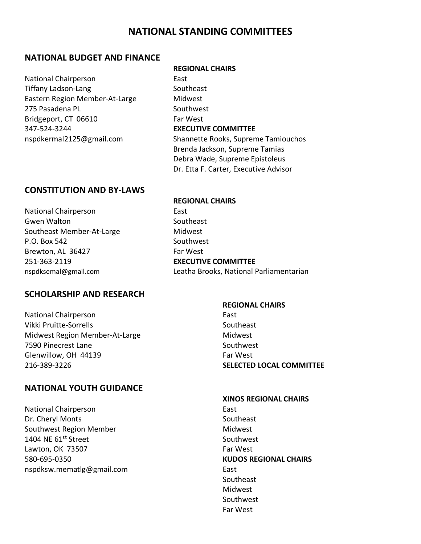### **NATIONAL STANDING COMMITTEES**

#### **NATIONAL BUDGET AND FINANCE**

National Chairperson **East** Tiffany Ladson-Lang Southeast Eastern Region Member-At-Large Midwest 275 Pasadena PL Southwest Bridgeport, CT 06610 Far West 347-524-3244 **EXECUTIVE COMMITTEE**

#### **REGIONAL CHAIRS**

nspdkermal2125@gmail.com Shannette Rooks, Supreme Tamiouchos Brenda Jackson, Supreme Tamias Debra Wade, Supreme Epistoleus Dr. Etta F. Carter, Executive Advisor

#### **CONSTITUTION AND BY-LAWS**

National Chairperson **East** Gwen Walton Southeast Southeast Member-At-Large Midwest P.O. Box 542 Southwest Brewton, AL 36427 Far West 251-363-2119 **EXECUTIVE COMMITTEE**

#### **SCHOLARSHIP AND RESEARCH**

National Chairperson **East** Vikki Pruitte-Sorrells Southeast Midwest Region Member-At-Large Midwest 7590 Pinecrest Lane Southwest Glenwillow, OH 44139 Far West 216-389-3226 **SELECTED LOCAL COMMITTEE**

#### **NATIONAL YOUTH GUIDANCE**

National Chairperson **East** Dr. Cheryl Monts **Southeast** Southwest Region Member Midwest 1404 NE 61<sup>st</sup> Street Southwest Lawton, OK 73507 Far West 580-695-0350 **KUDOS REGIONAL CHAIRS** nspdksw.mematlg@gmail.com entitled as the East

# **REGIONAL CHAIRS** nspdksemal@gmail.com Leatha Brooks, National Parliamentarian

#### **REGIONAL CHAIRS**

#### **XINOS REGIONAL CHAIRS**

**Southeast** Midwest Southwest Far West